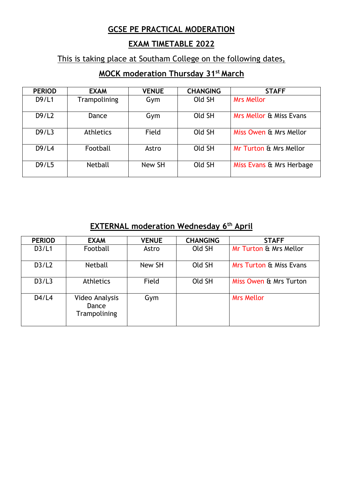## **GCSE PE PRACTICAL MODERATION**

# **EXAM TIMETABLE 2022**

# This is taking place at Southam College on the following dates,

# **MOCK moderation Thursday 31st March**

| <b>PERIOD</b> | <b>EXAM</b>      | <b>VENUE</b> | <b>CHANGING</b> | <b>STAFF</b>             |
|---------------|------------------|--------------|-----------------|--------------------------|
| D9/L1         | Trampolining     | Gym          | Old SH          | <b>Mrs Mellor</b>        |
| D9/L2         | Dance            | Gym          | Old SH          | Mrs Mellor & Miss Evans  |
| D9/L3         | <b>Athletics</b> | Field        | Old SH          | Miss Owen & Mrs Mellor   |
| D9/L4         | Football         | Astro        | Old SH          | Mr Turton & Mrs Mellor   |
| D9/L5         | <b>Netball</b>   | New SH       | Old SH          | Miss Evans & Mrs Herbage |

# **EXTERNAL moderation Wednesday 6th April**

| <b>PERIOD</b> | <b>EXAM</b>                             | <b>VENUE</b> | <b>CHANGING</b> | <b>STAFF</b>                       |
|---------------|-----------------------------------------|--------------|-----------------|------------------------------------|
| D3/L1         | Football                                | Astro        | Old SH          | Mr Turton & Mrs Mellor             |
| D3/L2         | <b>Netball</b>                          | New SH       | Old SH          | <b>Mrs Turton &amp; Miss Evans</b> |
| D3/L3         | <b>Athletics</b>                        | Field        | Old SH          | Miss Owen & Mrs Turton             |
| D4/L4         | Video Analysis<br>Dance<br>Trampolining | Gym          |                 | <b>Mrs Mellor</b>                  |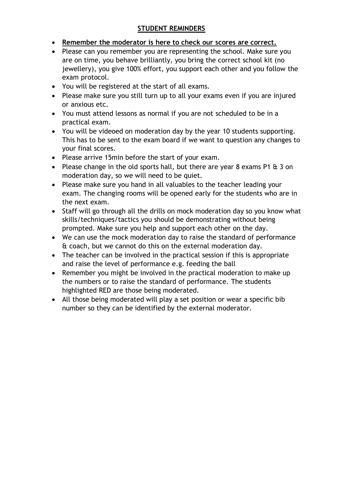### **STUDENT REMINDERS**

- **Remember the moderator is here to check our scores are correct.**
- Please can you remember you are representing the school. Make sure you are on time, you behave brilliantly, you bring the correct school kit (no jewellery), you give 100% effort, you support each other and you follow the exam protocol.
- You will be registered at the start of all exams.
- Please make sure you still turn up to all your exams even if you are injured or anxious etc.
- You must attend lessons as normal if you are not scheduled to be in a practical exam.
- You will be videoed on moderation day by the year 10 students supporting. This has to be sent to the exam board if we want to question any changes to your final scores.
- Please arrive 15min before the start of your exam.
- Please change in the old sports hall, but there are year 8 exams P1 & 3 on moderation day, so we will need to be quiet.
- Please make sure you hand in all valuables to the teacher leading your exam. The changing rooms will be opened early for the students who are in the next exam.
- Staff will go through all the drills on mock moderation day so you know what skills/techniques/tactics you should be demonstrating without being prompted. Make sure you help and support each other on the day.
- We can use the mock moderation day to raise the standard of performance & coach, but we cannot do this on the external moderation day.
- The teacher can be involved in the practical session if this is appropriate and raise the level of performance e.g. feeding the ball
- Remember you might be involved in the practical moderation to make up the numbers or to raise the standard of performance. The students highlighted RED are those being moderated.
- All those being moderated will play a set position or wear a specific bib number so they can be identified by the external moderator.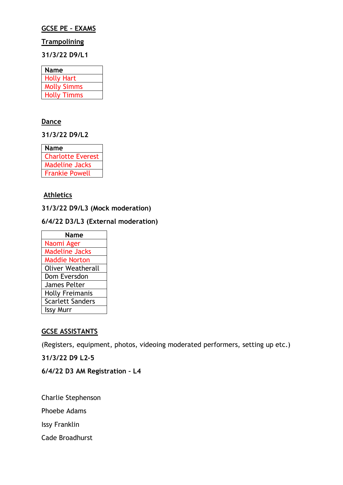#### **GCSE PE – EXAMS**

#### **Trampolining**

**31/3/22 D9/L1** 

| <b>Name</b>        |  |
|--------------------|--|
| <b>Holly Hart</b>  |  |
| <b>Molly Simms</b> |  |
| <b>Holly Timms</b> |  |

#### **Dance**

**31/3/22 D9/L2** 

| <b>Name</b>              |
|--------------------------|
| <b>Charlotte Everest</b> |
| <b>Madeline Jacks</b>    |
| <b>Frankie Powell</b>    |

#### **Athletics**

**31/3/22 D9/L3 (Mock moderation)**

#### **6/4/22 D3/L3 (External moderation)**

| Name                     |  |  |
|--------------------------|--|--|
| Naomi Ager               |  |  |
| <b>Madeline Jacks</b>    |  |  |
| <b>Maddie Norton</b>     |  |  |
| <b>Oliver Weatherall</b> |  |  |
| Dom Eversdon             |  |  |
| James Pelter             |  |  |
| <b>Holly Freimanis</b>   |  |  |
| <b>Scarlett Sanders</b>  |  |  |
| <b>Issy Murr</b>         |  |  |
|                          |  |  |

#### **GCSE ASSISTANTS**

(Registers, equipment, photos, videoing moderated performers, setting up etc.)

**31/3/22 D9 L2-5**

#### **6/4/22 D3 AM Registration – L4**

Charlie Stephenson

Phoebe Adams

Issy Franklin

Cade Broadhurst